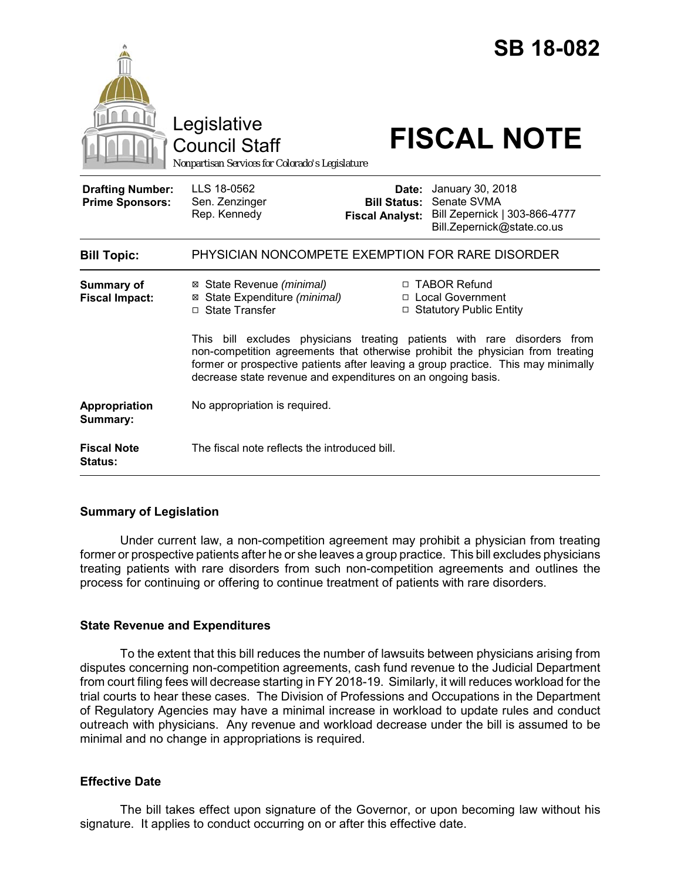|                                                   | Legislative<br><b>Council Staff</b><br>Nonpartisan Services for Colorado's Legislature                                                                                                                                                                                                                          |                                                        |                                                                   | <b>SB 18-082</b><br><b>FISCAL NOTE</b> |
|---------------------------------------------------|-----------------------------------------------------------------------------------------------------------------------------------------------------------------------------------------------------------------------------------------------------------------------------------------------------------------|--------------------------------------------------------|-------------------------------------------------------------------|----------------------------------------|
| <b>Drafting Number:</b><br><b>Prime Sponsors:</b> | LLS 18-0562<br>Sen. Zenzinger<br>Rep. Kennedy                                                                                                                                                                                                                                                                   | Date:<br><b>Bill Status:</b><br><b>Fiscal Analyst:</b> | January 30, 2018<br>Senate SVMA<br>Bill.Zepernick@state.co.us     | Bill Zepernick   303-866-4777          |
| <b>Bill Topic:</b>                                | PHYSICIAN NONCOMPETE EXEMPTION FOR RARE DISORDER                                                                                                                                                                                                                                                                |                                                        |                                                                   |                                        |
| <b>Summary of</b><br><b>Fiscal Impact:</b>        | ⊠ State Revenue (minimal)<br>State Expenditure (minimal)<br>⊠<br>□ State Transfer                                                                                                                                                                                                                               |                                                        | □ TABOR Refund<br>□ Local Government<br>□ Statutory Public Entity |                                        |
|                                                   | This bill excludes physicians treating patients with rare disorders from<br>non-competition agreements that otherwise prohibit the physician from treating<br>former or prospective patients after leaving a group practice. This may minimally<br>decrease state revenue and expenditures on an ongoing basis. |                                                        |                                                                   |                                        |
| Appropriation<br>Summary:                         | No appropriation is required.                                                                                                                                                                                                                                                                                   |                                                        |                                                                   |                                        |
| <b>Fiscal Note</b><br><b>Status:</b>              | The fiscal note reflects the introduced bill.                                                                                                                                                                                                                                                                   |                                                        |                                                                   |                                        |

### **Summary of Legislation**

Under current law, a non-competition agreement may prohibit a physician from treating former or prospective patients after he or she leaves a group practice. This bill excludes physicians treating patients with rare disorders from such non-competition agreements and outlines the process for continuing or offering to continue treatment of patients with rare disorders.

### **State Revenue and Expenditures**

To the extent that this bill reduces the number of lawsuits between physicians arising from disputes concerning non-competition agreements, cash fund revenue to the Judicial Department from court filing fees will decrease starting in FY 2018-19. Similarly, it will reduces workload for the trial courts to hear these cases. The Division of Professions and Occupations in the Department of Regulatory Agencies may have a minimal increase in workload to update rules and conduct outreach with physicians. Any revenue and workload decrease under the bill is assumed to be minimal and no change in appropriations is required.

### **Effective Date**

The bill takes effect upon signature of the Governor, or upon becoming law without his signature. It applies to conduct occurring on or after this effective date.